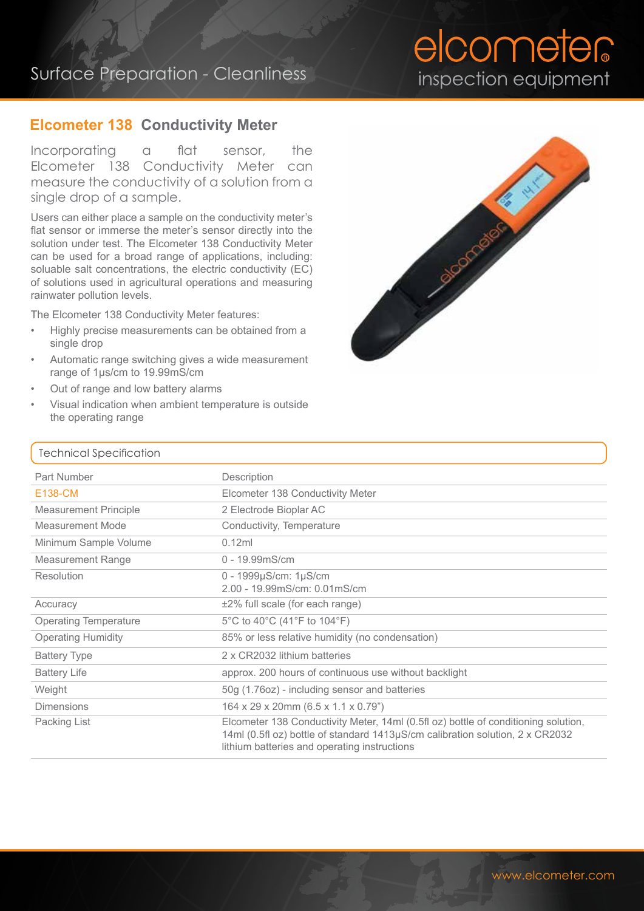## Surface Preparation - Cleanliness

# elcometer inspection equipment

### **Elcometer 138 Conductivity Meter**

Incorporating a flat sensor, the Elcometer 138 Conductivity Meter can measure the conductivity of a solution from a single drop of a sample.

Users can either place a sample on the conductivity meter's flat sensor or immerse the meter's sensor directly into the solution under test. The Elcometer 138 Conductivity Meter can be used for a broad range of applications, including: soluable salt concentrations, the electric conductivity (EC) of solutions used in agricultural operations and measuring rainwater pollution levels.

The Elcometer 138 Conductivity Meter features:

- Highly precise measurements can be obtained from a single drop
- Automatic range switching gives a wide measurement range of 1μs/cm to 19.99mS/cm
- Out of range and low battery alarms
- Visual indication when ambient temperature is outside the operating range



#### Technical Specification

| <b>Part Number</b>           | Description                                                                                                                                                                                                         |
|------------------------------|---------------------------------------------------------------------------------------------------------------------------------------------------------------------------------------------------------------------|
| E138-CM                      | Elcometer 138 Conductivity Meter                                                                                                                                                                                    |
| <b>Measurement Principle</b> | 2 Electrode Bioplar AC                                                                                                                                                                                              |
| Measurement Mode             | Conductivity, Temperature                                                                                                                                                                                           |
| Minimum Sample Volume        | 0.12ml                                                                                                                                                                                                              |
| <b>Measurement Range</b>     | $0 - 19.99$ mS/cm                                                                                                                                                                                                   |
| Resolution                   | $0 - 1999 \mu S/cm: 1 \mu S/cm$<br>2.00 - 19.99mS/cm: 0.01mS/cm                                                                                                                                                     |
| Accuracy                     | $±2\%$ full scale (for each range)                                                                                                                                                                                  |
| <b>Operating Temperature</b> | 5°C to 40°C (41°F to 104°F)                                                                                                                                                                                         |
| <b>Operating Humidity</b>    | 85% or less relative humidity (no condensation)                                                                                                                                                                     |
| <b>Battery Type</b>          | 2 x CR2032 lithium batteries                                                                                                                                                                                        |
| <b>Battery Life</b>          | approx. 200 hours of continuous use without backlight                                                                                                                                                               |
| Weight                       | 50g (1.76oz) - including sensor and batteries                                                                                                                                                                       |
| <b>Dimensions</b>            | $164 \times 29 \times 20$ mm $(6.5 \times 1.1 \times 0.79)$                                                                                                                                                         |
| Packing List                 | Elcometer 138 Conductivity Meter, 14ml (0.5fl oz) bottle of conditioning solution,<br>14ml (0.5fl oz) bottle of standard 1413µS/cm calibration solution, 2 x CR2032<br>lithium batteries and operating instructions |